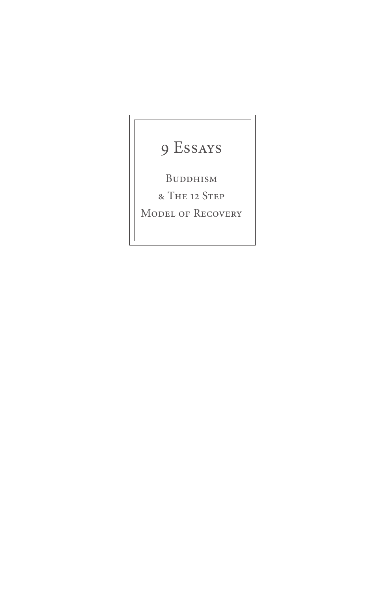# 9 Essays

Buddhism

& The 12 Step

MODEL OF RECOVERY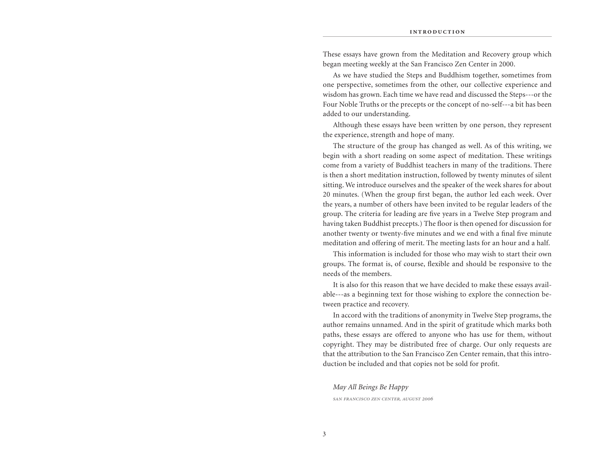These essays have grown from the Meditation and Recovery group which began meeting weekly at the San Francisco Zen Center in 2000.

As we have studied the Steps and Buddhism together, sometimes from one perspective, sometimes from the other, our collective experience and wisdom has grown. Each time we have read and discussed the Steps---or the Four Noble Truths or the precepts or the concept of no-self---a bit has been added to our understanding.

Although these essays have been written by one person, they represent the experience, strength and hope of many.

The structure of the group has changed as well. As of this writing, we begin with a short reading on some aspect of meditation. These writings come from a variety of Buddhist teachers in many of the traditions. There is then a short meditation instruction, followed by twenty minutes of silent sitting. We introduce ourselves and the speaker of the week shares for about 20 minutes. (When the group first began, the author led each week. Over the years, a number of others have been invited to be regular leaders of the group. The criteria for leading are five years in a Twelve Step program and having taken Buddhist precepts.) The floor is then opened for discussion for another twenty or twenty-five minutes and we end with a final five minute meditation and offering of merit. The meeting lasts for an hour and a half.

This information is included for those who may wish to start their own groups. The format is, of course, flexible and should be responsive to the needs of the members.

It is also for this reason that we have decided to make these essays available---as a beginning text for those wishing to explore the connection between practice and recovery.

In accord with the traditions of anonymity in Twelve Step programs, the author remains unnamed. And in the spirit of gratitude which marks both paths, these essays are offered to anyone who has use for them, without copyright. They may be distributed free of charge. Our only requests are that the attribution to the San Francisco Zen Center remain, that this introduction be included and that copies not be sold for profit.

*May All Beings Be Happy*

*san francisco zen center, august 2006*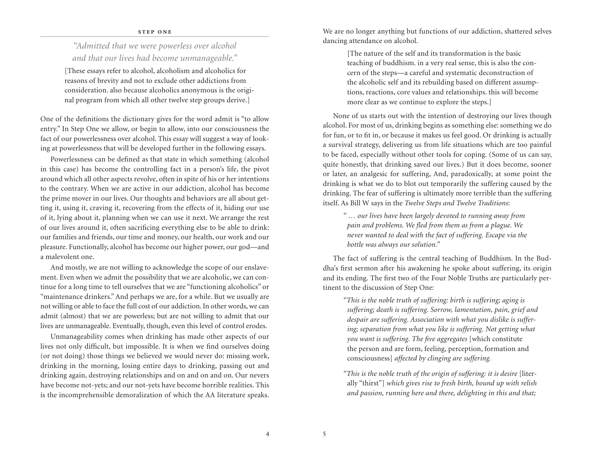### **STEP ONE**

# *"Admitted that we were powerless over alcohol and that our lives had become unmanageable."*

[These essays refer to alcohol, alcoholism and alcoholics for reasons of brevity and not to exclude other addictions from consideration. also because alcoholics anonymous is the original program from which all other twelve step groups derive.]

One of the definitions the dictionary gives for the word admit is "to allow entry." In Step One we allow, or begin to allow, into our consciousness the fact of our powerlessness over alcohol. This essay will suggest a way of looking at powerlessness that will be developed further in the following essays.

Powerlessness can be defined as that state in which something (alcohol in this case) has become the controlling fact in a person's life, the pivot around which all other aspects revolve, often in spite of his or her intentions to the contrary. When we are active in our addiction, alcohol has become the prime mover in our lives. Our thoughts and behaviors are all about getting it, using it, craving it, recovering from the effects of it, hiding our use of it, lying about it, planning when we can use it next. We arrange the rest of our lives around it, often sacrificing everything else to be able to drink: our families and friends, our time and money, our health, our work and our pleasure. Functionally, alcohol has become our higher power, our god—and a malevolent one.

And mostly, we are not willing to acknowledge the scope of our enslavement. Even when we admit the possibility that we are alcoholic, we can continue for a long time to tell ourselves that we are "functioning alcoholics" or "maintenance drinkers." And perhaps we are, for a while. But we usually are not willing or able to face the full cost of our addiction. In other words, we can admit (almost) that we are powerless; but are not willing to admit that our lives are unmanageable. Eventually, though, even this level of control erodes.

Unmanageability comes when drinking has made other aspects of our lives not only difficult, but impossible. It is when we find ourselves doing (or not doing) those things we believed we would never do: missing work, drinking in the morning, losing entire days to drinking, passing out and drinking again, destroying relationships and on and on and on. Our nevers have become not-yets; and our not-yets have become horrible realities. This is the incomprehensible demoralization of which the AA literature speaks.

We are no longer anything but functions of our addiction, shattered selves dancing attendance on alcohol.

> [The nature of the self and its transformation is the basic teaching of buddhism. in a very real sense, this is also the concern of the steps—a careful and systematic deconstruction of the alcoholic self and its rebuilding based on different assumptions, reactions, core values and relationships. this will become more clear as we continue to explore the steps.]

None of us starts out with the intention of destroying our lives though alcohol. For most of us, drinking begins as something else: something we do for fun, or to fit in, or because it makes us feel good. Or drinking is actually a survival strategy, delivering us from life situations which are too painful to be faced, especially without other tools for coping. (Some of us can say, quite honestly, that drinking saved our lives.) But it does become, sooner or later, an analgesic for suffering, And, paradoxically, at some point the drinking is what we do to blot out temporarily the suffering caused by the drinking. The fear of suffering is ultimately more terrible than the suffering itself. As Bill W says in the *Twelve Steps and Twelve Traditions*:

*" … our lives have been largely devoted to running away from pain and problems. We fled from them as from a plague. We never wanted to deal with the fact of suffering. Escape via the bottle was always our solution."*

The fact of suffering is the central teaching of Buddhism. In the Buddha's first sermon after his awakening he spoke about suffering, its origin and its ending. The first two of the Four Noble Truths are particularly pertinent to the discussion of Step One:

*"This is the noble truth of suffering: birth is suffering; aging is suffering; death is suffering. Sorrow, lamentation, pain, grief and despair are suffering. Association with what you dislike is suffering; separation from what you like is suffering. Not getting what you want is suffering. The five aggregates* [which constitute the person and are form, feeling, perception, formation and consciousness] *affected by clinging are suffering.*

*"This is the noble truth of the origin of suffering: it is desire* [literally "thirst"] *which gives rise to fresh birth, bound up with relish and passion, running here and there, delighting in this and that;* 

4 5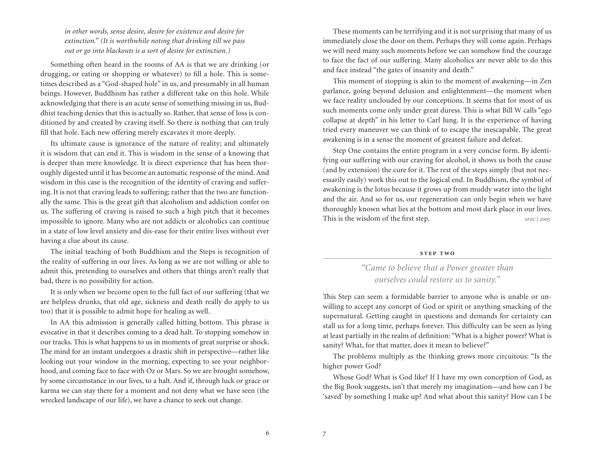*in other words, sense desire, desire for existence and desire for extinction." (It is worthwhile noting that drinking till we pass out or go into blackouts is a sort of desire for extinction.)*

Something often heard in the rooms of AA is that we are drinking (or drugging, or eating or shopping or whatever) to fill a hole. This is sometimes described as a "God-shaped hole" in us, and presumably in all human beings. However, Buddhism has rather a different take on this hole. While acknowledging that there is an acute sense of something missing in us, Buddhist teaching denies that this is actually so. Rather, that sense of loss is conditioned by and created by craving itself. So there is nothing that can truly fill that hole. Each new offering merely excavates it more deeply.

Its ultimate cause is ignorance of the nature of reality; and ultimately it is wisdom that can end it. This is wisdom in the sense of a knowing that is deeper than mere knowledge. It is direct experience that has been thoroughly digested until it has become an automatic response of the mind. And wisdom in this case is the recognition of the identity of craving and suffering. It is not that craving leads to suffering; rather that the two are functionally the same. This is the great gift that alcoholism and addiction confer on us. The suffering of craving is raised to such a high pitch that it becomes impossible to ignore. Many who are not addicts or alcoholics can continue in a state of low level anxiety and dis-ease for their entire lives without ever having a clue about its cause.

The initial teaching of both Buddhism and the Steps is recognition of the reality of suffering in our lives. As long as we are not willing or able to admit this, pretending to ourselves and others that things aren't really that bad, there is no possibility for action.

It is only when we become open to the full fact of our suffering (that we are helpless drunks, that old age, sickness and death really do apply to us too) that it is possible to admit hope for healing as well.

In AA this admission is generally called hitting bottom. This phrase is evocative in that it describes coming to a dead halt. To stopping somehow in our tracks. This is what happens to us in moments of great surprise or shock. The mind for an instant undergoes a drastic shift in perspective—rather like looking out your window in the morning, expecting to see your neighborhood, and coming face to face with Oz or Mars. So we are brought somehow, by some circumstance in our lives, to a halt. And if, through luck or grace or karma we can stay there for a moment and not deny what we have seen (the wrecked landscape of our life), we have a chance to seek out change.

These moments can be terrifying and it is not surprising that many of us immediately close the door on them. Perhaps they will come again. Perhaps we will need many such moments before we can somehow find the courage to face the fact of our suffering. Many alcoholics are never able to do this and face instead "the gates of insanity and death."

This moment of stopping is akin to the moment of awakening—in Zen parlance, going beyond delusion and enlightenment—the moment when we face reality unclouded by our conceptions. It seems that for most of us such moments come only under great duress. This is what Bill W calls "ego collapse at depth" in his letter to Carl Jung. It is the experience of having tried every maneuver we can think of to escape the inescapable. The great awakening is in a sense the moment of greatest failure and defeat.

Step One contains the entire program in a very concise form. By identifying our suffering with our craving for alcohol, it shows us both the cause (and by extension) the cure for it. The rest of the steps simply (but not necessarily easily) work this out to the logical end. In Buddhism, the symbol of awakening is the lotus because it grows up from muddy water into the light and the air. And so for us, our regeneration can only begin when we have thoroughly known what lies at the bottom and most dark place in our lives. This is the wisdom of the first step. *sFZC* | 2005

### **step two**

# *"Came to believe that a Power greater than ourselves could restore us to sanity."*

This Step can seem a formidable barrier to anyone who is unable or unwilling to accept any concept of God or spirit or anything smacking of the supernatural. Getting caught in questions and demands for certainty can stall us for a long time, perhaps forever. This difficulty can be seen as lying at least partially in the realm of definition: "What is a higher power? What is sanity? What, for that matter, does it mean to believe?"

The problems multiply as the thinking grows more circuitous: "Is the higher power God?

Whose God? What is God like? If I have my own conception of God, as the Big Book suggests, isn't that merely my imagination—and how can I be 'saved' by something I make up? And what about this sanity? How can I be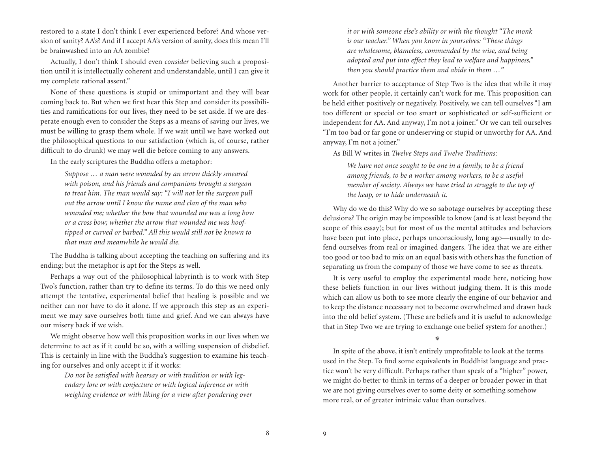restored to a state I don't think I ever experienced before? And whose version of sanity? AA's? And if I accept AA's version of sanity, does this mean I'll be brainwashed into an AA zombie?

Actually, I don't think I should even *consider* believing such a proposition until it is intellectually coherent and understandable, until I can give it my complete rational assent."

None of these questions is stupid or unimportant and they will bear coming back to. But when we first hear this Step and consider its possibilities and ramifications for our lives, they need to be set aside. If we are desperate enough even to consider the Steps as a means of saving our lives, we must be willing to grasp them whole. If we wait until we have worked out the philosophical questions to our satisfaction (which is, of course, rather difficult to do drunk) we may well die before coming to any answers.

In the early scriptures the Buddha offers a metaphor:

*Suppose … a man were wounded by an arrow thickly smeared with poison, and his friends and companions brought a surgeon to treat him. The man would say: "I will not let the surgeon pull out the arrow until I know the name and clan of the man who wounded me; whether the bow that wounded me was a long bow or a cross bow; whether the arrow that wounded me was hooftipped or curved or barbed." All this would still not be known to that man and meanwhile he would die.*

The Buddha is talking about accepting the teaching on suffering and its ending; but the metaphor is apt for the Steps as well.

Perhaps a way out of the philosophical labyrinth is to work with Step Two's function, rather than try to define its terms. To do this we need only attempt the tentative, experimental belief that healing is possible and we neither can nor have to do it alone. If we approach this step as an experiment we may save ourselves both time and grief. And we can always have our misery back if we wish.

We might observe how well this proposition works in our lives when we determine to act as if it could be so, with a willing suspension of disbelief. This is certainly in line with the Buddha's suggestion to examine his teaching for ourselves and only accept it if it works:

> *Do not be satisfied with hearsay or with tradition or with legendary lore or with conjecture or with logical inference or with weighing evidence or with liking for a view after pondering over*

*it or with someone else's ability or with the thought "The monk is our teacher." When you know in yourselves: "These things are wholesome, blameless, commended by the wise, and being adopted and put into effect they lead to welfare and happiness," then you should practice them and abide in them …"*

Another barrier to acceptance of Step Two is the idea that while it may work for other people, it certainly can't work for me. This proposition can be held either positively or negatively. Positively, we can tell ourselves "I am too different or special or too smart or sophisticated or self-sufficient or independent for AA. And anyway, I'm not a joiner." Or we can tell ourselves "I'm too bad or far gone or undeserving or stupid or unworthy for AA. And anyway, I'm not a joiner."

As Bill W writes in *Twelve Steps and Twelve Traditions*:

*We have not once sought to be one in a family, to be a friend among friends, to be a worker among workers, to be a useful member of society. Always we have tried to struggle to the top of the heap, or to hide underneath it.*

Why do we do this? Why do we so sabotage ourselves by accepting these delusions? The origin may be impossible to know (and is at least beyond the scope of this essay); but for most of us the mental attitudes and behaviors have been put into place, perhaps unconsciously, long ago—usually to defend ourselves from real or imagined dangers. The idea that we are either too good or too bad to mix on an equal basis with others has the function of separating us from the company of those we have come to see as threats.

It is very useful to employ the experimental mode here, noticing how these beliefs function in our lives without judging them. It is this mode which can allow us both to see more clearly the engine of our behavior and to keep the distance necessary not to become overwhelmed and drawn back into the old belief system. (These are beliefs and it is useful to acknowledge that in Step Two we are trying to exchange one belief system for another.)

淼

In spite of the above, it isn't entirely unprofitable to look at the terms used in the Step. To find some equivalents in Buddhist language and practice won't be very difficult. Perhaps rather than speak of a "higher" power, we might do better to think in terms of a deeper or broader power in that we are not giving ourselves over to some deity or something somehow more real, or of greater intrinsic value than ourselves.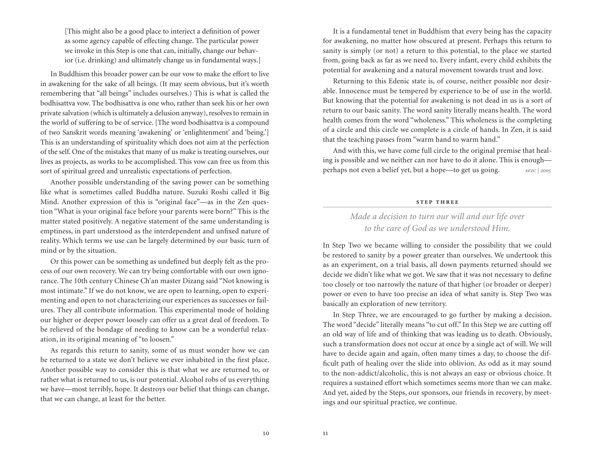[This might also be a good place to interject a definition of power as some agency capable of effecting change. The particular power we invoke in this Step is one that can, initially, change our behavior (i.e. drinking) and ultimately change us in fundamental ways.]

In Buddhism this broader power can be our vow to make the effort to live in awakening for the sake of all beings. (It may seem obvious, but it's worth remembering that "all beings" includes ourselves.) This is what is called the bodhisattva vow. The bodhisattva is one who, rather than seek his or her own private salvation (which is ultimately a delusion anyway), resolves to remain in the world of suffering to be of service. [The word bodhisattva is a compound of two Sanskrit words meaning 'awakening' or 'enlightenment' and 'being.'] This is an understanding of spirituality which does not aim at the perfection of the self. One of the mistakes that many of us make is treating ourselves, our lives as projects, as works to be accomplished. This vow can free us from this sort of spiritual greed and unrealistic expectations of perfection.

Another possible understanding of the saving power can be something like what is sometimes called Buddha nature. Suzuki Roshi called it Big Mind. Another expression of this is "original face"—as in the Zen question "What is your original face before your parents were born?" This is the matter stated positively. A negative statement of the same understanding is emptiness, in part understood as the interdependent and unfixed nature of reality. Which terms we use can be largely determined by our basic turn of mind or by the situation.

Or this power can be something as undefined but deeply felt as the process of our own recovery. We can try being comfortable with our own ignorance. The 10th century Chinese Ch'an master Dizang said "Not knowing is most intimate." If we do not know, we are open to learning, open to experimenting and open to not characterizing our experiences as successes or failures. They all contribute information. This experimental mode of holding our higher or deeper power loosely can offer us a great deal of freedom. To be relieved of the bondage of needing to know can be a wonderful relaxation, in its original meaning of "to loosen."

As regards this return to sanity, some of us must wonder how we can be returned to a state we don't believe we ever inhabited in the first place. Another possible way to consider this is that what we are returned to, or rather what is returned to us, is our potential. Alcohol robs of us everything we have—most terribly, hope. It destroys our belief that things can change, that we can change, at least for the better.

It is a fundamental tenet in Buddhism that every being has the capacity for awakening, no matter how obscured at present. Perhaps this return to sanity is simply (or not) a return to this potential, to the place we started from, going back as far as we need to. Every infant, every child exhibits the potential for awakening and a natural movement towards trust and love.

Returning to this Edenic state is, of course, neither possible nor desirable. Innocence must be tempered by experience to be of use in the world. But knowing that the potential for awakening is not dead in us is a sort of return to our basic sanity. The word sanity literally means health. The word health comes from the word "wholeness." This wholeness is the completing of a circle and this circle we complete is a circle of hands. In Zen, it is said that the teaching passes from "warm hand to warm hand."

And with this, we have come full circle to the original premise that healing is possible and we neither can nor have to do it alone. This is enough perhaps not even a belief yet, but a hope—to get us going. *sfzc | 2005*

### **step three**

# *Made a decision to turn our will and our life over to the care of God as we understood Him.*

In Step Two we became willing to consider the possibility that we could be restored to sanity by a power greater than ourselves. We undertook this as an experiment, on a trial basis, all down payments returned should we decide we didn't like what we got. We saw that it was not necessary to define too closely or too narrowly the nature of that higher (or broader or deeper) power or even to have too precise an idea of what sanity is. Step Two was basically an exploration of new territory.

In Step Three, we are encouraged to go further by making a decision. The word "decide" literally means "to cut off." In this Step we are cutting off an old way of life and of thinking that was leading us to death. Obviously, such a transformation does not occur at once by a single act of will. We will have to decide again and again, often many times a day, to choose the difficult path of healing over the slide into oblivion. As odd as it may sound to the non-addict/alcoholic, this is not always an easy or obvious choice. It requires a sustained effort which sometimes seems more than we can make. And yet, aided by the Steps, our sponsors, our friends in recovery, by meetings and our spiritual practice, we continue.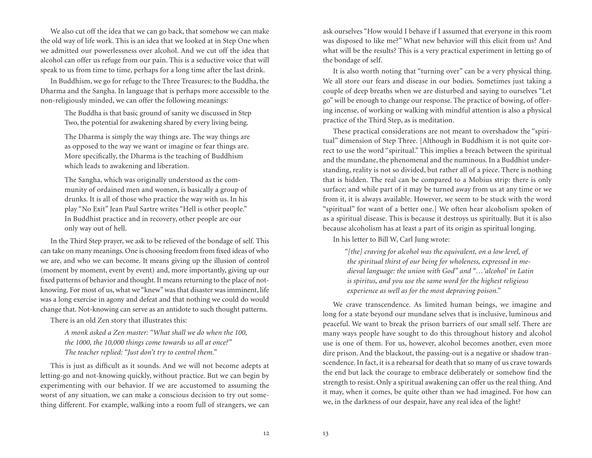We also cut off the idea that we can go back, that somehow we can make the old way of life work. This is an idea that we looked at in Step One when we admitted our powerlessness over alcohol. And we cut off the idea that alcohol can offer us refuge from our pain. This is a seductive voice that will speak to us from time to time, perhaps for a long time after the last drink.

In Buddhism, we go for refuge to the Three Treasures: to the Buddha, the Dharma and the Sangha. In language that is perhaps more accessible to the non-religiously minded, we can offer the following meanings:

> The Buddha is that basic ground of sanity we discussed in Step Two, the potential for awakening shared by every living being.

> The Dharma is simply the way things are. The way things are as opposed to the way we want or imagine or fear things are. More specifically, the Dharma is the teaching of Buddhism which leads to awakening and liberation.

> The Sangha, which was originally understood as the community of ordained men and women, is basically a group of drunks. It is all of those who practice the way with us. In his play "No Exit" Jean Paul Sartre writes "Hell is other people." In Buddhist practice and in recovery, other people are our only way out of hell.

In the Third Step prayer, we ask to be relieved of the bondage of self. This can take on many meanings. One is choosing freedom from fixed ideas of who we are, and who we can become. It means giving up the illusion of control (moment by moment, event by event) and, more importantly, giving up our fixed patterns of behavior and thought. It means returning to the place of notknowing. For most of us, what we "knew" was that disaster was imminent, life was a long exercise in agony and defeat and that nothing we could do would change that. Not-knowing can serve as an antidote to such thought patterns.

There is an old Zen story that illustrates this:

*A monk asked a Zen master: "What shall we do when the 100, the 1000, the 10,000 things come towards us all at once?" The teacher replied: "Just don't try to control them."*

This is just as difficult as it sounds. And we will not become adepts at letting-go and not-knowing quickly, without practice. But we can begin by experimenting with our behavior. If we are accustomed to assuming the worst of any situation, we can make a conscious decision to try out something different. For example, walking into a room full of strangers, we can ask ourselves "How would I behave if I assumed that everyone in this room was disposed to like me?" What new behavior will this elicit from us? And what will be the results? This is a very practical experiment in letting go of the bondage of self.

It is also worth noting that "turning over" can be a very physical thing. We all store our fears and disease in our bodies. Sometimes just taking a couple of deep breaths when we are disturbed and saying to ourselves "Let go" will be enough to change our response. The practice of bowing, of offering incense, of working or walking with mindful attention is also a physical practice of the Third Step, as is meditation.

These practical considerations are not meant to overshadow the "spiritual" dimension of Step Three. [Although in Buddhism it is not quite correct to use the word "spiritual." This implies a breach between the spiritual and the mundane, the phenomenal and the numinous. In a Buddhist understanding, reality is not so divided, but rather all of a piece. There is nothing that is hidden. The real can be compared to a Mobius strip: there is only surface; and while part of it may be turned away from us at any time or we from it, it is always available. However, we seem to be stuck with the word "spiritual" for want of a better one.] We often hear alcoholism spoken of as a spiritual disease. This is because it destroys us spiritually. But it is also because alcoholism has at least a part of its origin as spiritual longing.

In his letter to Bill W, Carl Jung wrote:

*"[the] craving for alcohol was the equivalent, on a low level, of the spiritual thirst of our being for wholeness, expressed in medieval language: the union with God" and "…'alcohol' in Latin is spiritus, and you use the same word for the highest religious experience as well as for the most depraving poison."*

We crave transcendence. As limited human beings, we imagine and long for a state beyond our mundane selves that is inclusive, luminous and peaceful. We want to break the prison barriers of our small self. There are many ways people have sought to do this throughout history and alcohol use is one of them. For us, however, alcohol becomes another, even more dire prison. And the blackout, the passing-out is a negative or shadow transcendence. In fact, it is a rehearsal for death that so many of us crave towards the end but lack the courage to embrace deliberately or somehow find the strength to resist. Only a spiritual awakening can offer us the real thing. And it may, when it comes, be quite other than we had imagined. For how can we, in the darkness of our despair, have any real idea of the light?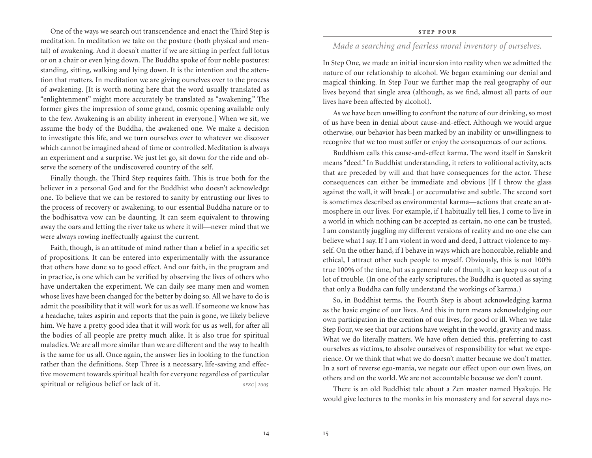One of the ways we search out transcendence and enact the Third Step is meditation. In meditation we take on the posture (both physical and mental) of awakening. And it doesn't matter if we are sitting in perfect full lotus or on a chair or even lying down. The Buddha spoke of four noble postures: standing, sitting, walking and lying down. It is the intention and the attention that matters. In meditation we are giving ourselves over to the process of awakening. [It is worth noting here that the word usually translated as "enlightenment" might more accurately be translated as "awakening." The former gives the impression of some grand, cosmic opening available only to the few. Awakening is an ability inherent in everyone.] When we sit, we assume the body of the Buddha, the awakened one. We make a decision to investigate this life, and we turn ourselves over to whatever we discover which cannot be imagined ahead of time or controlled. Meditation is always an experiment and a surprise. We just let go, sit down for the ride and observe the scenery of the undiscovered country of the self.

Finally though, the Third Step requires faith. This is true both for the believer in a personal God and for the Buddhist who doesn't acknowledge one. To believe that we can be restored to sanity by entrusting our lives to the process of recovery or awakening, to our essential Buddha nature or to the bodhisattva vow can be daunting. It can seem equivalent to throwing away the oars and letting the river take us where it will—never mind that we were always rowing ineffectually against the current.

Faith, though, is an attitude of mind rather than a belief in a specific set of propositions. It can be entered into experimentally with the assurance that others have done so to good effect. And our faith, in the program and in practice, is one which can be verified by observing the lives of others who have undertaken the experiment. We can daily see many men and women whose lives have been changed for the better by doing so. All we have to do is admit the possibility that it will work for us as well. If someone we know has a headache, takes aspirin and reports that the pain is gone, we likely believe him. We have a pretty good idea that it will work for us as well, for after all the bodies of all people are pretty much alike. It is also true for spiritual maladies. We are all more similar than we are different and the way to health is the same for us all. Once again, the answer lies in looking to the function rather than the definitions. Step Three is a necessary, life-saving and effective movement towards spiritual health for everyone regardless of particular spiritual or religious belief or lack of it. *sFZC* | 2005

# *Made a searching and fearless moral inventory of ourselves.*

In Step One, we made an initial incursion into reality when we admitted the nature of our relationship to alcohol. We began examining our denial and magical thinking. In Step Four we further map the real geography of our lives beyond that single area (although, as we find, almost all parts of our lives have been affected by alcohol).

As we have been unwilling to confront the nature of our drinking, so most of us have been in denial about cause-and-effect. Although we would argue otherwise, our behavior has been marked by an inability or unwillingness to recognize that we too must suffer or enjoy the consequences of our actions.

Buddhism calls this cause-and-effect karma. The word itself in Sanskrit means "deed." In Buddhist understanding, it refers to volitional activity, acts that are preceded by will and that have consequences for the actor. These consequences can either be immediate and obvious [If I throw the glass against the wall, it will break.] or accumulative and subtle. The second sort is sometimes described as environmental karma—actions that create an atmosphere in our lives. For example, if I habitually tell lies, I come to live in a world in which nothing can be accepted as certain, no one can be trusted, I am constantly juggling my different versions of reality and no one else can believe what I say. If I am violent in word and deed, I attract violence to myself. On the other hand, if I behave in ways which are honorable, reliable and ethical, I attract other such people to myself. Obviously, this is not 100% true 100% of the time, but as a general rule of thumb, it can keep us out of a lot of trouble. (In one of the early scriptures, the Buddha is quoted as saying that only a Buddha can fully understand the workings of karma.)

So, in Buddhist terms, the Fourth Step is about acknowledging karma as the basic engine of our lives. And this in turn means acknowledging our own participation in the creation of our lives, for good or ill. When we take Step Four, we see that our actions have weight in the world, gravity and mass. What we do literally matters. We have often denied this, preferring to cast ourselves as victims, to absolve ourselves of responsibility for what we experience. Or we think that what we do doesn't matter because we don't matter. In a sort of reverse ego-mania, we negate our effect upon our own lives, on others and on the world. We are not accountable because we don't count.

There is an old Buddhist tale about a Zen master named Hyakujo. He would give lectures to the monks in his monastery and for several days no-

14 15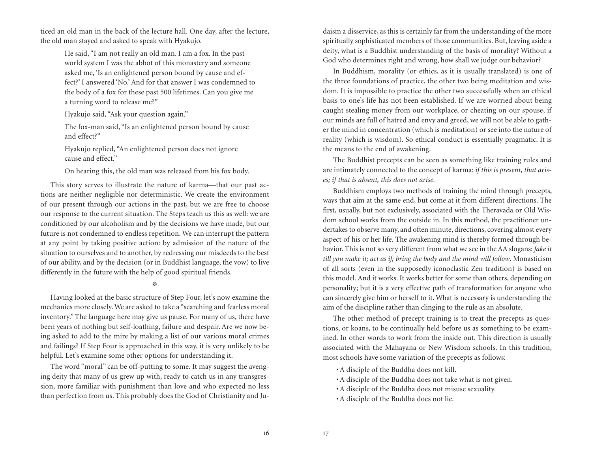ticed an old man in the back of the lecture hall. One day, after the lecture, the old man stayed and asked to speak with Hyakujo.

> He said, "I am not really an old man. I am a fox. In the past world system I was the abbot of this monastery and someone asked me, 'Is an enlightened person bound by cause and effect?' I answered 'No.' And for that answer I was condemned to the body of a fox for these past 500 lifetimes. Can you give me a turning word to release me?"

Hyakujo said, "Ask your question again."

The fox-man said, "Is an enlightened person bound by cause and effect?"

Hyakujo replied, "An enlightened person does not ignore cause and effect."

On hearing this, the old man was released from his fox body.

This story serves to illustrate the nature of karma—that our past actions are neither negligible nor deterministic. We create the environment of our present through our actions in the past, but we are free to choose our response to the current situation. The Steps teach us this as well: we are conditioned by our alcoholism and by the decisions we have made, but our future is not condemned to endless repetition. We can interrupt the pattern at any point by taking positive action: by admission of the nature of the situation to ourselves and to another, by redressing our misdeeds to the best of our ability, and by the decision (or in Buddhist language, the vow) to live differently in the future with the help of good spiritual friends.

燊

Having looked at the basic structure of Step Four, let's now examine the mechanics more closely. We are asked to take a "searching and fearless moral inventory." The language here may give us pause. For many of us, there have been years of nothing but self-loathing, failure and despair. Are we now being asked to add to the mire by making a list of our various moral crimes and failings? If Step Four is approached in this way, it is very unlikely to be helpful. Let's examine some other options for understanding it.

The word "moral" can be off-putting to some. It may suggest the avenging deity that many of us grew up with, ready to catch us in any transgression, more familiar with punishment than love and who expected no less than perfection from us. This probably does the God of Christianity and Ju-

daism a disservice, as this is certainly far from the understanding of the more spiritually sophisticated members of those communities. But, leaving aside a deity, what is a Buddhist understanding of the basis of morality? Without a God who determines right and wrong, how shall we judge our behavior?

In Buddhism, morality (or ethics, as it is usually translated) is one of the three foundations of practice, the other two being meditation and wisdom. It is impossible to practice the other two successfully when an ethical basis to one's life has not been established. If we are worried about being caught stealing money from our workplace, or cheating on our spouse, if our minds are full of hatred and envy and greed, we will not be able to gather the mind in concentration (which is meditation) or see into the nature of reality (which is wisdom). So ethical conduct is essentially pragmatic. It is the means to the end of awakening.

The Buddhist precepts can be seen as something like training rules and are intimately connected to the concept of karma: *if this is present, that arises; if that is absent, this does not arise.*

Buddhism employs two methods of training the mind through precepts, ways that aim at the same end, but come at it from different directions. The first, usually, but not exclusively, associated with the Theravada or Old Wisdom school works from the outside in. In this method, the practitioner undertakes to observe many, and often minute, directions, covering almost every aspect of his or her life. The awakening mind is thereby formed through behavior. This is not so very different from what we see in the AA slogans: *fake it till you make it; act as if; bring the body and the mind will follow*. Monasticism of all sorts (even in the supposedly iconoclastic Zen tradition) is based on this model. And it works. It works better for some than others, depending on personality; but it is a very effective path of transformation for anyone who can sincerely give him or herself to it. What is necessary is understanding the aim of the discipline rather than clinging to the rule as an absolute.

The other method of precept training is to treat the precepts as questions, or koans, to be continually held before us as something to be examined. In other words to work from the inside out. This direction is usually associated with the Mahayana or New Wisdom schools. In this tradition, most schools have some variation of the precepts as follows:

- • A disciple of the Buddha does not kill.
- A disciple of the Buddha does not take what is not given.
- • A disciple of the Buddha does not misuse sexuality.
- • A disciple of the Buddha does not lie.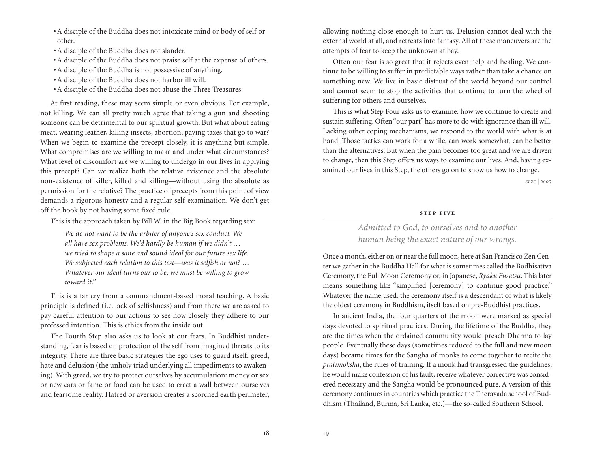- • A disciple of the Buddha does not intoxicate mind or body of self or other.
- • A disciple of the Buddha does not slander.
- • A disciple of the Buddha does not praise self at the expense of others.
- A disciple of the Buddha is not possessive of anything.
- • A disciple of the Buddha does not harbor ill will.
- • A disciple of the Buddha does not abuse the Three Treasures.

At first reading, these may seem simple or even obvious. For example, not killing. We can all pretty much agree that taking a gun and shooting someone can be detrimental to our spiritual growth. But what about eating meat, wearing leather, killing insects, abortion, paying taxes that go to war? When we begin to examine the precept closely, it is anything but simple. What compromises are we willing to make and under what circumstances? What level of discomfort are we willing to undergo in our lives in applying this precept? Can we realize both the relative existence and the absolute non-existence of killer, killed and killing—without using the absolute as permission for the relative? The practice of precepts from this point of view demands a rigorous honesty and a regular self-examination. We don't get off the hook by not having some fixed rule.

This is the approach taken by Bill W. in the Big Book regarding sex:

*We do not want to be the arbiter of anyone's sex conduct. We all have sex problems. We'd hardly be human if we didn't … we tried to shape a sane and sound ideal for our future sex life. We subjected each relation to this test—was it selfish or not? … Whatever our ideal turns our to be, we must be willing to grow toward it."*

This is a far cry from a commandment-based moral teaching. A basic principle is defined (i.e. lack of selfishness) and from there we are asked to pay careful attention to our actions to see how closely they adhere to our professed intention. This is ethics from the inside out.

The Fourth Step also asks us to look at our fears. In Buddhist understanding, fear is based on protection of the self from imagined threats to its integrity. There are three basic strategies the ego uses to guard itself: greed, hate and delusion (the unholy triad underlying all impediments to awakening). With greed, we try to protect ourselves by accumulation: money or sex or new cars or fame or food can be used to erect a wall between ourselves and fearsome reality. Hatred or aversion creates a scorched earth perimeter,

allowing nothing close enough to hurt us. Delusion cannot deal with the external world at all, and retreats into fantasy. All of these maneuvers are the attempts of fear to keep the unknown at bay.

Often our fear is so great that it rejects even help and healing. We continue to be willing to suffer in predictable ways rather than take a chance on something new. We live in basic distrust of the world beyond our control and cannot seem to stop the activities that continue to turn the wheel of suffering for others and ourselves.

This is what Step Four asks us to examine: how we continue to create and sustain suffering. Often "our part" has more to do with ignorance than ill will. Lacking other coping mechanisms, we respond to the world with what is at hand. Those tactics can work for a while, can work somewhat, can be better than the alternatives. But when the pain becomes too great and we are driven to change, then this Step offers us ways to examine our lives. And, having examined our lives in this Step, the others go on to show us how to change.

*sfzc | 2005*

### **step five**

# *Admitted to God, to ourselves and to another human being the exact nature of our wrongs.*

Once a month, either on or near the full moon, here at San Francisco Zen Center we gather in the Buddha Hall for what is sometimes called the Bodhisattva Ceremony, the Full Moon Ceremony or, in Japanese, *Ryaku Fusatsu*. This later means something like "simplified [ceremony] to continue good practice." Whatever the name used, the ceremony itself is a descendant of what is likely the oldest ceremony in Buddhism, itself based on pre-Buddhist practices.

In ancient India, the four quarters of the moon were marked as special days devoted to spiritual practices. During the lifetime of the Buddha, they are the times when the ordained community would preach Dharma to lay people. Eventually these days (sometimes reduced to the full and new moon days) became times for the Sangha of monks to come together to recite the *pratimoksha*, the rules of training. If a monk had transgressed the guidelines, he would make confession of his fault, receive whatever corrective was considered necessary and the Sangha would be pronounced pure. A version of this ceremony continues in countries which practice the Theravada school of Buddhism (Thailand, Burma, Sri Lanka, etc.)—the so-called Southern School.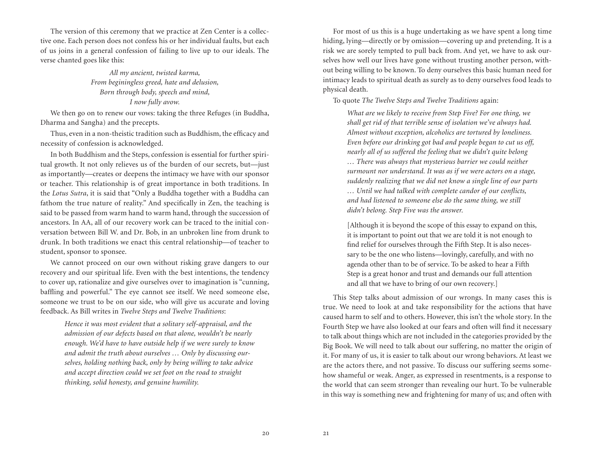The version of this ceremony that we practice at Zen Center is a collective one. Each person does not confess his or her individual faults, but each of us joins in a general confession of failing to live up to our ideals. The verse chanted goes like this:

## *All my ancient, twisted karma, From beginingless greed, hate and delusion, Born through body, speech and mind, I now fully avow.*

We then go on to renew our vows: taking the three Refuges (in Buddha, Dharma and Sangha) and the precepts.

Thus, even in a non-theistic tradition such as Buddhism, the efficacy and necessity of confession is acknowledged.

In both Buddhism and the Steps, confession is essential for further spiritual growth. It not only relieves us of the burden of our secrets, but—just as importantly—creates or deepens the intimacy we have with our sponsor or teacher. This relationship is of great importance in both traditions. In the *Lotus Sutra*, it is said that "Only a Buddha together with a Buddha can fathom the true nature of reality." And specifically in Zen, the teaching is said to be passed from warm hand to warm hand, through the succession of ancestors. In AA, all of our recovery work can be traced to the initial conversation between Bill W. and Dr. Bob, in an unbroken line from drunk to drunk. In both traditions we enact this central relationship—of teacher to student, sponsor to sponsee.

We cannot proceed on our own without risking grave dangers to our recovery and our spiritual life. Even with the best intentions, the tendency to cover up, rationalize and give ourselves over to imagination is "cunning, baffling and powerful." The eye cannot see itself. We need someone else, someone we trust to be on our side, who will give us accurate and loving feedback. As Bill writes in *Twelve Steps and Twelve Traditions*:

> *Hence it was most evident that a solitary self-appraisal, and the admission of our defects based on that alone, wouldn't be nearly enough. We'd have to have outside help if we were surely to know and admit the truth about ourselves … Only by discussing ourselves, holding nothing back, only by being willing to take advice and accept direction could we set foot on the road to straight thinking, solid honesty, and genuine humility.*

For most of us this is a huge undertaking as we have spent a long time hiding, lying—directly or by omission—covering up and pretending. It is a risk we are sorely tempted to pull back from. And yet, we have to ask ourselves how well our lives have gone without trusting another person, without being willing to be known. To deny ourselves this basic human need for intimacy leads to spiritual death as surely as to deny ourselves food leads to physical death.

To quote *The Twelve Steps and Twelve Traditions* again:

*What are we likely to receive from Step Five? For one thing, we shall get rid of that terrible sense of isolation we've always had. Almost without exception, alcoholics are tortured by loneliness. Even before our drinking got bad and people began to cut us off, nearly all of us suffered the feeling that we didn't quite belong … There was always that mysterious barrier we could neither surmount nor understand. It was as if we were actors on a stage, suddenly realizing that we did not know a single line of our parts … Until we had talked with complete candor of our conflicts, and had listened to someone else do the same thing, we still didn't belong. Step Five was the answer.*

[Although it is beyond the scope of this essay to expand on this, it is important to point out that we are told it is not enough to find relief for ourselves through the Fifth Step. It is also necessary to be the one who listens—lovingly, carefully, and with no agenda other than to be of service. To be asked to hear a Fifth Step is a great honor and trust and demands our full attention and all that we have to bring of our own recovery.]

This Step talks about admission of our wrongs. In many cases this is true. We need to look at and take responsibility for the actions that have caused harm to self and to others. However, this isn't the whole story. In the Fourth Step we have also looked at our fears and often will find it necessary to talk about things which are not included in the categories provided by the Big Book. We will need to talk about our suffering, no matter the origin of it. For many of us, it is easier to talk about our wrong behaviors. At least we are the actors there, and not passive. To discuss our suffering seems somehow shameful or weak. Anger, as expressed in resentments, is a response to the world that can seem stronger than revealing our hurt. To be vulnerable in this way is something new and frightening for many of us; and often with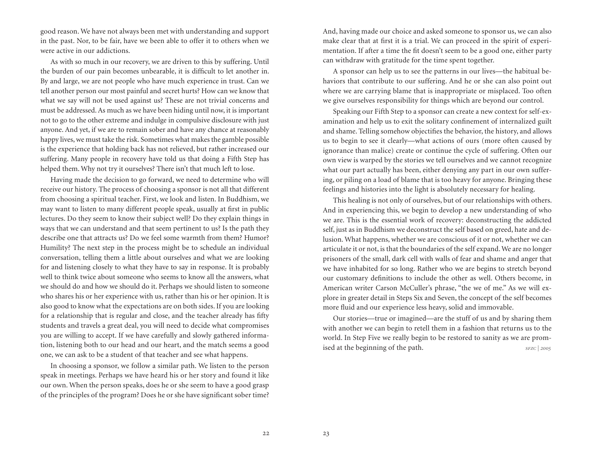good reason. We have not always been met with understanding and support in the past. Nor, to be fair, have we been able to offer it to others when we were active in our addictions.

As with so much in our recovery, we are driven to this by suffering. Until the burden of our pain becomes unbearable, it is difficult to let another in. By and large, we are not people who have much experience in trust. Can we tell another person our most painful and secret hurts? How can we know that what we say will not be used against us? These are not trivial concerns and must be addressed. As much as we have been hiding until now, it is important not to go to the other extreme and indulge in compulsive disclosure with just anyone. And yet, if we are to remain sober and have any chance at reasonably happy lives, we must take the risk. Sometimes what makes the gamble possible is the experience that holding back has not relieved, but rather increased our suffering. Many people in recovery have told us that doing a Fifth Step has helped them. Why not try it ourselves? There isn't that much left to lose.

Having made the decision to go forward, we need to determine who will receive our history. The process of choosing a sponsor is not all that different from choosing a spiritual teacher. First, we look and listen. In Buddhism, we may want to listen to many different people speak, usually at first in public lectures. Do they seem to know their subject well? Do they explain things in ways that we can understand and that seem pertinent to us? Is the path they describe one that attracts us? Do we feel some warmth from them? Humor? Humility? The next step in the process might be to schedule an individual conversation, telling them a little about ourselves and what we are looking for and listening closely to what they have to say in response. It is probably well to think twice about someone who seems to know all the answers, what we should do and how we should do it. Perhaps we should listen to someone who shares his or her experience with us, rather than his or her opinion. It is also good to know what the expectations are on both sides. If you are looking for a relationship that is regular and close, and the teacher already has fifty students and travels a great deal, you will need to decide what compromises you are willing to accept. If we have carefully and slowly gathered information, listening both to our head and our heart, and the match seems a good one, we can ask to be a student of that teacher and see what happens.

In choosing a sponsor, we follow a similar path. We listen to the person speak in meetings. Perhaps we have heard his or her story and found it like our own. When the person speaks, does he or she seem to have a good grasp of the principles of the program? Does he or she have significant sober time?

And, having made our choice and asked someone to sponsor us, we can also make clear that at first it is a trial. We can proceed in the spirit of experimentation. If after a time the fit doesn't seem to be a good one, either party can withdraw with gratitude for the time spent together.

A sponsor can help us to see the patterns in our lives—the habitual behaviors that contribute to our suffering. And he or she can also point out where we are carrying blame that is inappropriate or misplaced. Too often we give ourselves responsibility for things which are beyond our control.

Speaking our Fifth Step to a sponsor can create a new context for self-examination and help us to exit the solitary confinement of internalized guilt and shame. Telling somehow objectifies the behavior, the history, and allows us to begin to see it clearly—what actions of ours (more often caused by ignorance than malice) create or continue the cycle of suffering. Often our own view is warped by the stories we tell ourselves and we cannot recognize what our part actually has been, either denying any part in our own suffering, or piling on a load of blame that is too heavy for anyone. Bringing these feelings and histories into the light is absolutely necessary for healing.

This healing is not only of ourselves, but of our relationships with others. And in experiencing this, we begin to develop a new understanding of who we are. This is the essential work of recovery: deconstructing the addicted self, just as in Buddhism we deconstruct the self based on greed, hate and delusion. What happens, whether we are conscious of it or not, whether we can articulate it or not, is that the boundaries of the self expand. We are no longer prisoners of the small, dark cell with walls of fear and shame and anger that we have inhabited for so long. Rather who we are begins to stretch beyond our customary definitions to include the other as well. Others become, in American writer Carson McCuller's phrase, "the we of me." As we will explore in greater detail in Steps Six and Seven, the concept of the self becomes more fluid and our experience less heavy, solid and immovable.

Our stories—true or imagined—are the stuff of us and by sharing them with another we can begin to retell them in a fashion that returns us to the world. In Step Five we really begin to be restored to sanity as we are promised at the beginning of the path. *sFZC* | 2005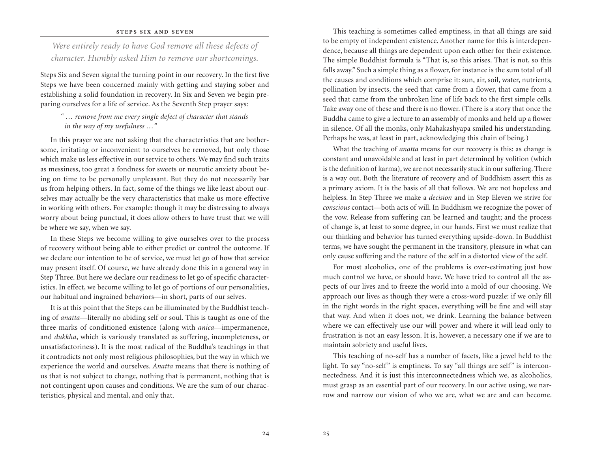### **steps six and seven**

*Were entirely ready to have God remove all these defects of character. Humbly asked Him to remove our shortcomings.*

Steps Six and Seven signal the turning point in our recovery. In the first five Steps we have been concerned mainly with getting and staying sober and establishing a solid foundation in recovery. In Six and Seven we begin preparing ourselves for a life of service. As the Seventh Step prayer says:

*" … remove from me every single defect of character that stands in the way of my usefulness …"*

In this prayer we are not asking that the characteristics that are bothersome, irritating or inconvenient to ourselves be removed, but only those which make us less effective in our service to others. We may find such traits as messiness, too great a fondness for sweets or neurotic anxiety about being on time to be personally unpleasant. But they do not necessarily bar us from helping others. In fact, some of the things we like least about ourselves may actually be the very characteristics that make us more effective in working with others. For example: though it may be distressing to always worry about being punctual, it does allow others to have trust that we will be where we say, when we say.

In these Steps we become willing to give ourselves over to the process of recovery without being able to either predict or control the outcome. If we declare our intention to be of service, we must let go of how that service may present itself. Of course, we have already done this in a general way in Step Three. But here we declare our readiness to let go of specific characteristics. In effect, we become willing to let go of portions of our personalities, our habitual and ingrained behaviors—in short, parts of our selves.

It is at this point that the Steps can be illuminated by the Buddhist teaching of *anatta*—literally no abiding self or soul. This is taught as one of the three marks of conditioned existence (along with *anica*—impermanence, and *dukkha*, which is variously translated as suffering, incompleteness, or unsatisfactoriness). It is the most radical of the Buddha's teachings in that it contradicts not only most religious philosophies, but the way in which we experience the world and ourselves. *Anatta* means that there is nothing of us that is not subject to change, nothing that is permanent, nothing that is not contingent upon causes and conditions. We are the sum of our characteristics, physical and mental, and only that.

This teaching is sometimes called emptiness, in that all things are said to be empty of independent existence. Another name for this is interdependence, because all things are dependent upon each other for their existence. The simple Buddhist formula is "That is, so this arises. That is not, so this falls away." Such a simple thing as a flower, for instance is the sum total of all the causes and conditions which comprise it: sun, air, soil, water, nutrients, pollination by insects, the seed that came from a flower, that came from a seed that came from the unbroken line of life back to the first simple cells. Take away one of these and there is no flower. (There is a story that once the Buddha came to give a lecture to an assembly of monks and held up a flower in silence. Of all the monks, only Mahakashyapa smiled his understanding. Perhaps he was, at least in part, acknowledging this chain of being.)

What the teaching of *anatta* means for our recovery is this: as change is constant and unavoidable and at least in part determined by volition (which is the definition of karma), we are not necessarily stuck in our suffering. There is a way out. Both the literature of recovery and of Buddhism assert this as a primary axiom. It is the basis of all that follows. We are not hopeless and helpless. In Step Three we make a *decision* and in Step Eleven we strive for *conscious* contact—both acts of will. In Buddhism we recognize the power of the vow. Release from suffering can be learned and taught; and the process of change is, at least to some degree, in our hands. First we must realize that our thinking and behavior has turned everything upside-down. In Buddhist terms, we have sought the permanent in the transitory, pleasure in what can only cause suffering and the nature of the self in a distorted view of the self.

For most alcoholics, one of the problems is over-estimating just how much control we have, or should have. We have tried to control all the aspects of our lives and to freeze the world into a mold of our choosing. We approach our lives as though they were a cross-word puzzle: if we only fill in the right words in the right spaces, everything will be fine and will stay that way. And when it does not, we drink. Learning the balance between where we can effectively use our will power and where it will lead only to frustration is not an easy lesson. It is, however, a necessary one if we are to maintain sobriety and useful lives.

This teaching of no-self has a number of facets, like a jewel held to the light. To say "no-self" is emptiness. To say "all things are self" is interconnectedness. And it is just this interconnectedness which we, as alcoholics, must grasp as an essential part of our recovery. In our active using, we narrow and narrow our vision of who we are, what we are and can become.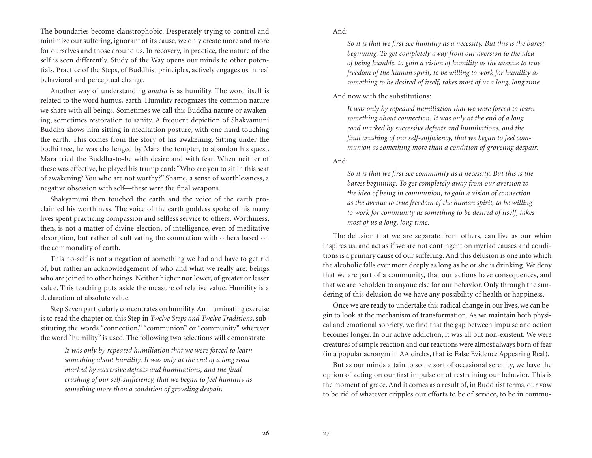The boundaries become claustrophobic. Desperately trying to control and minimize our suffering, ignorant of its cause, we only create more and more for ourselves and those around us. In recovery, in practice, the nature of the self is seen differently. Study of the Way opens our minds to other potentials. Practice of the Steps, of Buddhist principles, actively engages us in real behavioral and perceptual change.

Another way of understanding *anatta* is as humility. The word itself is related to the word humus, earth. Humility recognizes the common nature we share with all beings. Sometimes we call this Buddha nature or awakening, sometimes restoration to sanity. A frequent depiction of Shakyamuni Buddha shows him sitting in meditation posture, with one hand touching the earth. This comes from the story of his awakening. Sitting under the bodhi tree, he was challenged by Mara the tempter, to abandon his quest. Mara tried the Buddha-to-be with desire and with fear. When neither of these was effective, he played his trump card: "Who are you to sit in this seat of awakening? You who are not worthy?" Shame, a sense of worthlessness, a negative obsession with self—these were the final weapons.

Shakyamuni then touched the earth and the voice of the earth proclaimed his worthiness. The voice of the earth goddess spoke of his many lives spent practicing compassion and selfless service to others. Worthiness, then, is not a matter of divine election, of intelligence, even of meditative absorption, but rather of cultivating the connection with others based on the commonality of earth.

This no-self is not a negation of something we had and have to get rid of, but rather an acknowledgement of who and what we really are: beings who are joined to other beings. Neither higher nor lower, of greater or lesser value. This teaching puts aside the measure of relative value. Humility is a declaration of absolute value.

Step Seven particularly concentrates on humility. An illuminating exercise is to read the chapter on this Step in *Twelve Steps and Twelve Traditions*, substituting the words "connection," "communion" or "community" wherever the word "humility" is used. The following two selections will demonstrate:

> *It was only by repeated humiliation that we were forced to learn something about humility. It was only at the end of a long road marked by successive defeats and humiliations, and the final crushing of our self-sufficiency, that we began to feel humility as something more than a condition of groveling despair.*

And:

*So it is that we first see humility as a necessity. But this is the barest beginning. To get completely away from our aversion to the idea of being humble, to gain a vision of humility as the avenue to true freedom of the human spirit, to be willing to work for humility as something to be desired of itself, takes most of us a long, long time.*

And now with the substitutions:

*It was only by repeated humiliation that we were forced to learn something about connection. It was only at the end of a long road marked by successive defeats and humiliations, and the final crushing of our self-sufficiency, that we began to feel communion as something more than a condition of groveling despair.*

And:

*So it is that we first see community as a necessity. But this is the barest beginning. To get completely away from our aversion to the idea of being in communion, to gain a vision of connection as the avenue to true freedom of the human spirit, to be willing to work for community as something to be desired of itself, takes most of us a long, long time.*

The delusion that we are separate from others, can live as our whim inspires us, and act as if we are not contingent on myriad causes and conditions is a primary cause of our suffering. And this delusion is one into which the alcoholic falls ever more deeply as long as he or she is drinking. We deny that we are part of a community, that our actions have consequences, and that we are beholden to anyone else for our behavior. Only through the sundering of this delusion do we have any possibility of health or happiness.

Once we are ready to undertake this radical change in our lives, we can begin to look at the mechanism of transformation. As we maintain both physical and emotional sobriety, we find that the gap between impulse and action becomes longer. In our active addiction, it was all but non-existent. We were creatures of simple reaction and our reactions were almost always born of fear (in a popular acronym in AA circles, that is: False Evidence Appearing Real).

But as our minds attain to some sort of occasional serenity, we have the option of acting on our first impulse or of restraining our behavior. This is the moment of grace. And it comes as a result of, in Buddhist terms, our vow to be rid of whatever cripples our efforts to be of service, to be in commu-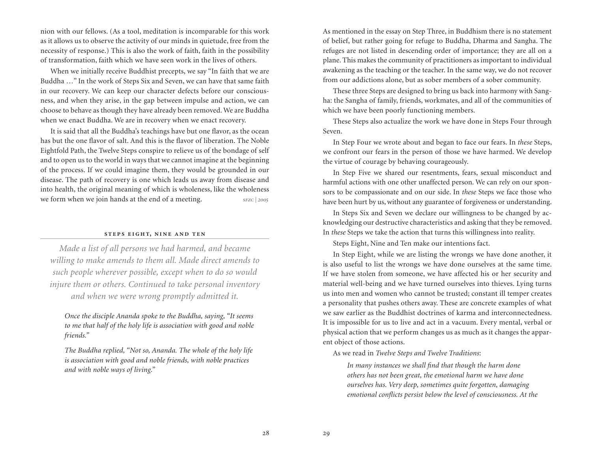nion with our fellows. (As a tool, meditation is incomparable for this work as it allows us to observe the activity of our minds in quietude, free from the necessity of response.) This is also the work of faith, faith in the possibility of transformation, faith which we have seen work in the lives of others.

When we initially receive Buddhist precepts, we say "In faith that we are Buddha …" In the work of Steps Six and Seven, we can have that same faith in our recovery. We can keep our character defects before our consciousness, and when they arise, in the gap between impulse and action, we can choose to behave as though they have already been removed. We are Buddha when we enact Buddha. We are in recovery when we enact recovery.

It is said that all the Buddha's teachings have but one flavor, as the ocean has but the one flavor of salt. And this is the flavor of liberation. The Noble Eightfold Path, the Twelve Steps conspire to relieve us of the bondage of self and to open us to the world in ways that we cannot imagine at the beginning of the process. If we could imagine them, they would be grounded in our disease. The path of recovery is one which leads us away from disease and into health, the original meaning of which is wholeness, like the wholeness we form when we join hands at the end of a meeting. *sFZC | 2005* 

### **steps eight, nine and ten**

*Made a list of all persons we had harmed, and became willing to make amends to them all. Made direct amends to such people wherever possible, except when to do so would injure them or others. Continued to take personal inventory and when we were wrong promptly admitted it.*

*Once the disciple Ananda spoke to the Buddha, saying, "It seems to me that half of the holy life is association with good and noble friends."*

*The Buddha replied, "Not so, Ananda. The whole of the holy life is association with good and noble friends, with noble practices and with noble ways of living."*

As mentioned in the essay on Step Three, in Buddhism there is no statement of belief, but rather going for refuge to Buddha, Dharma and Sangha. The refuges are not listed in descending order of importance; they are all on a plane. This makes the community of practitioners as important to individual awakening as the teaching or the teacher. In the same way, we do not recover from our addictions alone, but as sober members of a sober community.

These three Steps are designed to bring us back into harmony with Sangha: the Sangha of family, friends, workmates, and all of the communities of which we have been poorly functioning members.

These Steps also actualize the work we have done in Steps Four through Seven.

In Step Four we wrote about and began to face our fears. In *these* Steps, we confront our fears in the person of those we have harmed. We develop the virtue of courage by behaving courageously.

In Step Five we shared our resentments, fears, sexual misconduct and harmful actions with one other unaffected person. We can rely on our sponsors to be compassionate and on our side. In *these* Steps we face those who have been hurt by us, without any guarantee of forgiveness or understanding.

In Steps Six and Seven we declare our willingness to be changed by acknowledging our destructive characteristics and asking that they be removed. In *these* Steps we take the action that turns this willingness into reality.

Steps Eight, Nine and Ten make our intentions fact.

In Step Eight, while we are listing the wrongs we have done another, it is also useful to list the wrongs we have done ourselves at the same time. If we have stolen from someone, we have affected his or her security and material well-being and we have turned ourselves into thieves. Lying turns us into men and women who cannot be trusted; constant ill temper creates a personality that pushes others away. These are concrete examples of what we saw earlier as the Buddhist doctrines of karma and interconnectedness. It is impossible for us to live and act in a vacuum. Every mental, verbal or physical action that we perform changes us as much as it changes the apparent object of those actions.

As we read in *Twelve Steps and Twelve Traditions*:

*In many instances we shall find that though the harm done others has not been great, the emotional harm we have done ourselves has. Very deep, sometimes quite forgotten, damaging emotional conflicts persist below the level of consciousness. At the*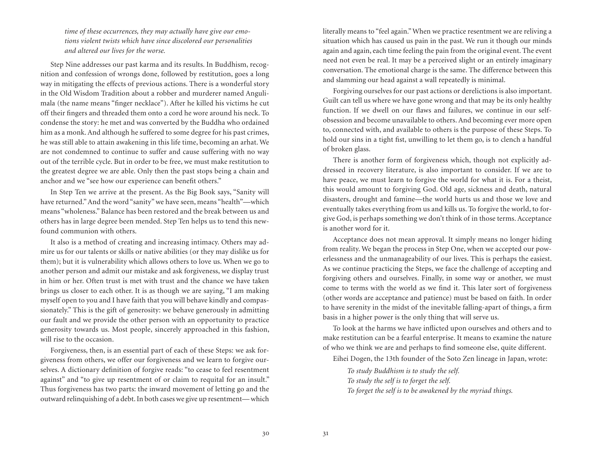*time of these occurrences, they may actually have give our emotions violent twists which have since discolored our personalities and altered our lives for the worse.*

Step Nine addresses our past karma and its results. In Buddhism, recognition and confession of wrongs done, followed by restitution, goes a long way in mitigating the effects of previous actions. There is a wonderful story in the Old Wisdom Tradition about a robber and murderer named Angulimala (the name means "finger necklace"). After he killed his victims he cut off their fingers and threaded them onto a cord he wore around his neck. To condense the story: he met and was converted by the Buddha who ordained him as a monk. And although he suffered to some degree for his past crimes, he was still able to attain awakening in this life time, becoming an arhat. We are not condemned to continue to suffer and cause suffering with no way out of the terrible cycle. But in order to be free, we must make restitution to the greatest degree we are able. Only then the past stops being a chain and anchor and we "see how our experience can benefit others."

In Step Ten we arrive at the present. As the Big Book says, "Sanity will have returned." And the word "sanity" we have seen, means "health"—which means "wholeness." Balance has been restored and the break between us and others has in large degree been mended. Step Ten helps us to tend this newfound communion with others.

It also is a method of creating and increasing intimacy. Others may admire us for our talents or skills or native abilities (or they may dislike us for them); but it is vulnerability which allows others to love us. When we go to another person and admit our mistake and ask forgiveness, we display trust in him or her. Often trust is met with trust and the chance we have taken brings us closer to each other. It is as though we are saying, "I am making myself open to you and I have faith that you will behave kindly and compassionately." This is the gift of generosity: we behave generously in admitting our fault and we provide the other person with an opportunity to practice generosity towards us. Most people, sincerely approached in this fashion, will rise to the occasion.

Forgiveness, then, is an essential part of each of these Steps: we ask forgiveness from others, we offer our forgiveness and we learn to forgive ourselves. A dictionary definition of forgive reads: "to cease to feel resentment against" and "to give up resentment of or claim to requital for an insult." Thus forgiveness has two parts: the inward movement of letting go and the outward relinquishing of a debt. In both cases we give up resentment— which

literally means to "feel again." When we practice resentment we are reliving a situation which has caused us pain in the past. We run it though our minds again and again, each time feeling the pain from the original event. The event need not even be real. It may be a perceived slight or an entirely imaginary conversation. The emotional charge is the same. The difference between this and slamming our head against a wall repeatedly is minimal.

Forgiving ourselves for our past actions or derelictions is also important. Guilt can tell us where we have gone wrong and that may be its only healthy function. If we dwell on our flaws and failures, we continue in our selfobsession and become unavailable to others. And becoming ever more open to, connected with, and available to others is the purpose of these Steps. To hold our sins in a tight fist, unwilling to let them go, is to clench a handful of broken glass.

There is another form of forgiveness which, though not explicitly addressed in recovery literature, is also important to consider. If we are to have peace, we must learn to forgive the world for what it is. For a theist, this would amount to forgiving God. Old age, sickness and death, natural disasters, drought and famine—the world hurts us and those we love and eventually takes everything from us and kills us. To forgive the world, to forgive God, is perhaps something we don't think of in those terms. Acceptance is another word for it.

Acceptance does not mean approval. It simply means no longer hiding from reality. We began the process in Step One, when we accepted our powerlessness and the unmanageability of our lives. This is perhaps the easiest. As we continue practicing the Steps, we face the challenge of accepting and forgiving others and ourselves. Finally, in some way or another, we must come to terms with the world as we find it. This later sort of forgiveness (other words are acceptance and patience) must be based on faith. In order to have serenity in the midst of the inevitable falling-apart of things, a firm basis in a higher power is the only thing that will serve us.

To look at the harms we have inflicted upon ourselves and others and to make restitution can be a fearful enterprise. It means to examine the nature of who we think we are and perhaps to find someone else, quite different.

Eihei Dogen, the 13th founder of the Soto Zen lineage in Japan, wrote:

*To study Buddhism is to study the self. To study the self is to forget the self. To forget the self is to be awakened by the myriad things.*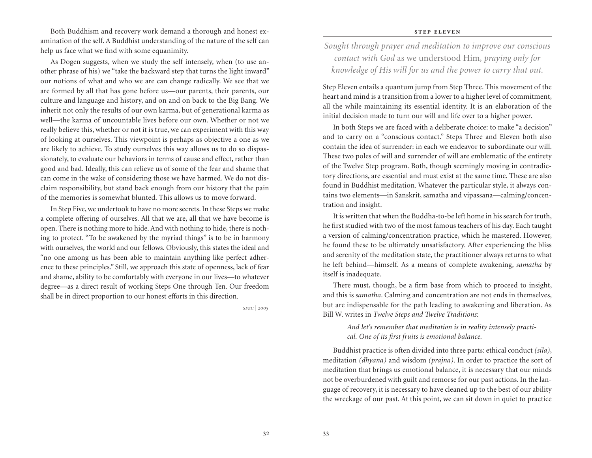Both Buddhism and recovery work demand a thorough and honest examination of the self. A Buddhist understanding of the nature of the self can help us face what we find with some equanimity.

As Dogen suggests, when we study the self intensely, when (to use another phrase of his) we "take the backward step that turns the light inward" our notions of what and who we are can change radically. We see that we are formed by all that has gone before us—our parents, their parents, our culture and language and history, and on and on back to the Big Bang. We inherit not only the results of our own karma, but of generational karma as well—the karma of uncountable lives before our own. Whether or not we really believe this, whether or not it is true, we can experiment with this way of looking at ourselves. This viewpoint is perhaps as objective a one as we are likely to achieve. To study ourselves this way allows us to do so dispassionately, to evaluate our behaviors in terms of cause and effect, rather than good and bad. Ideally, this can relieve us of some of the fear and shame that can come in the wake of considering those we have harmed. We do not disclaim responsibility, but stand back enough from our history that the pain of the memories is somewhat blunted. This allows us to move forward.

In Step Five, we undertook to have no more secrets. In these Steps we make a complete offering of ourselves. All that we are, all that we have become is open. There is nothing more to hide. And with nothing to hide, there is nothing to protect. "To be awakened by the myriad things" is to be in harmony with ourselves, the world and our fellows. Obviously, this states the ideal and "no one among us has been able to maintain anything like perfect adherence to these principles." Still, we approach this state of openness, lack of fear and shame, ability to be comfortably with everyone in our lives—to whatever degree—as a direct result of working Steps One through Ten. Our freedom shall be in direct proportion to our honest efforts in this direction.

*sfzc | 2005*

#### **step eleven**

*Sought through prayer and meditation to improve our conscious contact with God* as we understood Him*, praying only for knowledge of His will for us and the power to carry that out.*

Step Eleven entails a quantum jump from Step Three. This movement of the heart and mind is a transition from a lower to a higher level of commitment, all the while maintaining its essential identity. It is an elaboration of the initial decision made to turn our will and life over to a higher power.

In both Steps we are faced with a deliberate choice: to make "a decision" and to carry on a "conscious contact." Steps Three and Eleven both also contain the idea of surrender: in each we endeavor to subordinate our will. These two poles of will and surrender of will are emblematic of the entirety of the Twelve Step program. Both, though seemingly moving in contradictory directions, are essential and must exist at the same time. These are also found in Buddhist meditation. Whatever the particular style, it always contains two elements—in Sanskrit, samatha and vipassana—calming/concentration and insight.

It is written that when the Buddha-to-be left home in his search for truth, he first studied with two of the most famous teachers of his day. Each taught a version of calming/concentration practice, which he mastered. However, he found these to be ultimately unsatisfactory. After experiencing the bliss and serenity of the meditation state, the practitioner always returns to what he left behind—himself. As a means of complete awakening, *samatha* by itself is inadequate.

There must, though, be a firm base from which to proceed to insight, and this is *samatha*. Calming and concentration are not ends in themselves, but are indispensable for the path leading to awakening and liberation. As Bill W. writes in *Twelve Steps and Twelve Traditions*:

> *And let's remember that meditation is in reality intensely practical. One of its first fruits is emotional balance.*

Buddhist practice is often divided into three parts: ethical conduct *(sila)*, meditation *(dhyana)* and wisdom *(prajna)*. In order to practice the sort of meditation that brings us emotional balance, it is necessary that our minds not be overburdened with guilt and remorse for our past actions. In the language of recovery, it is necessary to have cleaned up to the best of our ability the wreckage of our past. At this point, we can sit down in quiet to practice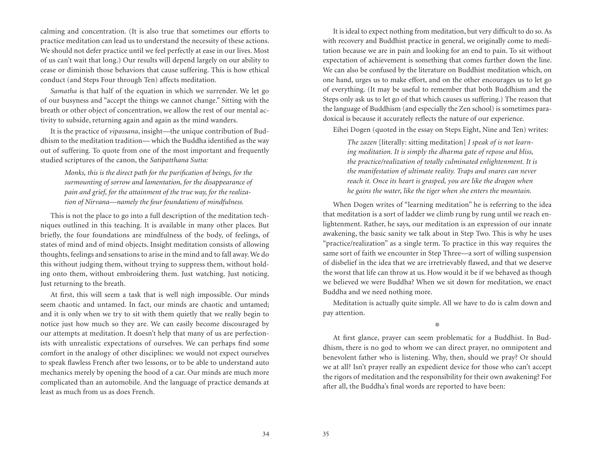calming and concentration. (It is also true that sometimes our efforts to practice meditation can lead us to understand the necessity of these actions. We should not defer practice until we feel perfectly at ease in our lives. Most of us can't wait that long.) Our results will depend largely on our ability to cease or diminish those behaviors that cause suffering. This is how ethical conduct (and Steps Four through Ten) affects meditation.

*Samatha* is that half of the equation in which we surrender. We let go of our busyness and "accept the things we cannot change." Sitting with the breath or other object of concentration, we allow the rest of our mental activity to subside, returning again and again as the mind wanders.

It is the practice of *vipassana*, insight—the unique contribution of Buddhism to the meditation tradition— which the Buddha identified as the way out of suffering. To quote from one of the most important and frequently studied scriptures of the canon, the *Satipatthana Sutta:*

> *Monks, this is the direct path for the purification of beings, for the surmounting of sorrow and lamentation, for the disappearance of pain and grief, for the attainment of the true way, for the realization of Nirvana—namely the four foundations of mindfulness.*

This is not the place to go into a full description of the meditation techniques outlined in this teaching. It is available in many other places. But briefly, the four foundations are mindfulness of the body, of feelings, of states of mind and of mind objects. Insight meditation consists of allowing thoughts, feelings and sensations to arise in the mind and to fall away. We do this without judging them, without trying to suppress them, without holding onto them, without embroidering them. Just watching. Just noticing. Just returning to the breath.

At first, this will seem a task that is well nigh impossible. Our minds seem chaotic and untamed. In fact, our minds are chaotic and untamed; and it is only when we try to sit with them quietly that we really begin to notice just how much so they are. We can easily become discouraged by our attempts at meditation. It doesn't help that many of us are perfectionists with unrealistic expectations of ourselves. We can perhaps find some comfort in the analogy of other disciplines: we would not expect ourselves to speak flawless French after two lessons, or to be able to understand auto mechanics merely by opening the hood of a car. Our minds are much more complicated than an automobile. And the language of practice demands at least as much from us as does French.

It is ideal to expect nothing from meditation, but very difficult to do so. As with recovery and Buddhist practice in general, we originally come to meditation because we are in pain and looking for an end to pain. To sit without expectation of achievement is something that comes further down the line. We can also be confused by the literature on Buddhist meditation which, on one hand, urges us to make effort, and on the other encourages us to let go of everything. (It may be useful to remember that both Buddhism and the Steps only ask us to let go of that which causes us suffering.) The reason that the language of Buddhism (and especially the Zen school) is sometimes paradoxical is because it accurately reflects the nature of our experience.

Eihei Dogen (quoted in the essay on Steps Eight, Nine and Ten) writes:

*The zazen* [literally: sitting meditation] *I speak of is not learning meditation. It is simply the dharma gate of repose and bliss, the practice/realization of totally culminated enlightenment. It is the manifestation of ultimate reality. Traps and snares can never reach it. Once its heart is grasped, you are like the dragon when he gains the water, like the tiger when she enters the mountain.*

When Dogen writes of "learning meditation" he is referring to the idea that meditation is a sort of ladder we climb rung by rung until we reach enlightenment. Rather, he says, our meditation is an expression of our innate awakening, the basic sanity we talk about in Step Two. This is why he uses "practice/realization" as a single term. To practice in this way requires the same sort of faith we encounter in Step Three—a sort of willing suspension of disbelief in the idea that we are irretrievably flawed, and that we deserve the worst that life can throw at us. How would it be if we behaved as though we believed we were Buddha? When we sit down for meditation, we enact Buddha and we need nothing more.

Meditation is actually quite simple. All we have to do is calm down and pay attention.

燊

At first glance, prayer can seem problematic for a Buddhist. In Buddhism, there is no god to whom we can direct prayer, no omnipotent and benevolent father who is listening. Why, then, should we pray? Or should we at all? Isn't prayer really an expedient device for those who can't accept the rigors of meditation and the responsibility for their own awakening? For after all, the Buddha's final words are reported to have been:

34 35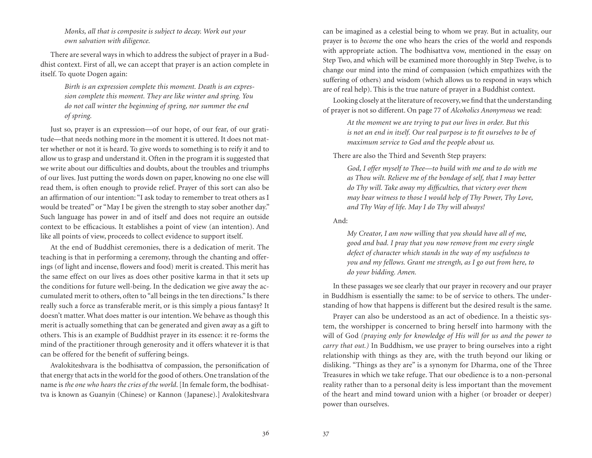*Monks, all that is composite is subject to decay. Work out your own salvation with diligence.*

There are several ways in which to address the subject of prayer in a Buddhist context. First of all, we can accept that prayer is an action complete in itself. To quote Dogen again:

> *Birth is an expression complete this moment. Death is an expression complete this moment. They are like winter and spring. You do not call winter the beginning of spring, nor summer the end of spring.*

Just so, prayer is an expression—of our hope, of our fear, of our gratitude—that needs nothing more in the moment it is uttered. It does not matter whether or not it is heard. To give words to something is to reify it and to allow us to grasp and understand it. Often in the program it is suggested that we write about our difficulties and doubts, about the troubles and triumphs of our lives. Just putting the words down on paper, knowing no one else will read them, is often enough to provide relief. Prayer of this sort can also be an affirmation of our intention: "I ask today to remember to treat others as I would be treated" or "May I be given the strength to stay sober another day." Such language has power in and of itself and does not require an outside context to be efficacious. It establishes a point of view (an intention). And like all points of view, proceeds to collect evidence to support itself.

At the end of Buddhist ceremonies, there is a dedication of merit. The teaching is that in performing a ceremony, through the chanting and offerings (of light and incense, flowers and food) merit is created. This merit has the same effect on our lives as does other positive karma in that it sets up the conditions for future well-being. In the dedication we give away the accumulated merit to others, often to "all beings in the ten directions." Is there really such a force as transferable merit, or is this simply a pious fantasy? It doesn't matter. What does matter is our intention. We behave as though this merit is actually something that can be generated and given away as a gift to others. This is an example of Buddhist prayer in its essence: it re-forms the mind of the practitioner through generosity and it offers whatever it is that can be offered for the benefit of suffering beings.

Avalokiteshvara is the bodhisattva of compassion, the personification of that energy that acts in the world for the good of others. One translation of the name is *the one who hears the cries of the world*. [In female form, the bodhisattva is known as Guanyin (Chinese) or Kannon (Japanese).] Avalokiteshvara

can be imagined as a celestial being to whom we pray. But in actuality, our prayer is to *become* the one who hears the cries of the world and responds with appropriate action. The bodhisattva vow, mentioned in the essay on Step Two, and which will be examined more thoroughly in Step Twelve, is to change our mind into the mind of compassion (which empathizes with the suffering of others) and wisdom (which allows us to respond in ways which are of real help). This is the true nature of prayer in a Buddhist context.

Looking closely at the literature of recovery, we find that the understanding of prayer is not so different. On page 77 of *Alcoholics Anonymous* we read:

> *At the moment we are trying to put our lives in order. But this is not an end in itself. Our real purpose is to fit ourselves to be of maximum service to God and the people about us.*

There are also the Third and Seventh Step prayers:

*God, I offer myself to Thee—to build with me and to do with me as Thou wilt. Relieve me of the bondage of self, that I may better do Thy will. Take away my difficulties, that victory over them may bear witness to those I would help of Thy Power, Thy Love, and Thy Way of life. May I do Thy will always!*

And:

*My Creator, I am now willing that you should have all of me, good and bad. I pray that you now remove from me every single defect of character which stands in the way of my usefulness to you and my fellows. Grant me strength, as I go out from here, to do your bidding. Amen.*

In these passages we see clearly that our prayer in recovery and our prayer in Buddhism is essentially the same: to be of service to others. The understanding of how that happens is different but the desired result is the same.

Prayer can also be understood as an act of obedience. In a theistic system, the worshipper is concerned to bring herself into harmony with the will of God *(praying only for knowledge of His will for us and the power to carry that out.)* In Buddhism, we use prayer to bring ourselves into a right relationship with things as they are, with the truth beyond our liking or disliking. "Things as they are" is a synonym for Dharma, one of the Three Treasures in which we take refuge. That our obedience is to a non-personal reality rather than to a personal deity is less important than the movement of the heart and mind toward union with a higher (or broader or deeper) power than ourselves.

36 37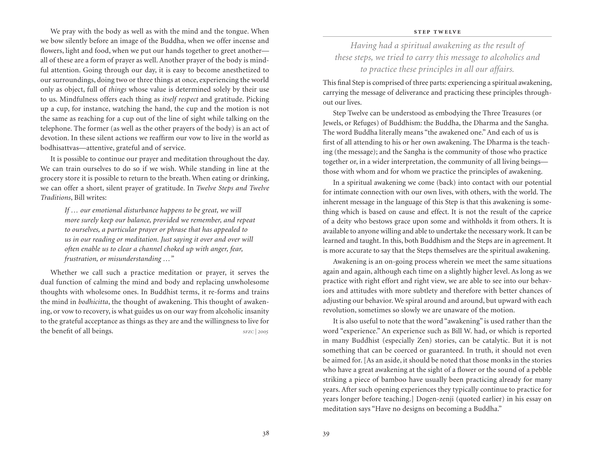We pray with the body as well as with the mind and the tongue. When we bow silently before an image of the Buddha, when we offer incense and flowers, light and food, when we put our hands together to greet another all of these are a form of prayer as well. Another prayer of the body is mindful attention. Going through our day, it is easy to become anesthetized to our surroundings, doing two or three things at once, experiencing the world only as object, full of *things* whose value is determined solely by their use to us. Mindfulness offers each thing as *itself respect* and gratitude. Picking up a cup, for instance, watching the hand, the cup and the motion is not the same as reaching for a cup out of the line of sight while talking on the telephone. The former (as well as the other prayers of the body) is an act of devotion. In these silent actions we reaffirm our vow to live in the world as bodhisattvas—attentive, grateful and of service.

It is possible to continue our prayer and meditation throughout the day. We can train ourselves to do so if we wish. While standing in line at the grocery store it is possible to return to the breath. When eating or drinking, we can offer a short, silent prayer of gratitude. In *Twelve Steps and Twelve Traditions*, Bill writes:

> *If … our emotional disturbance happens to be great, we will more surely keep our balance, provided we remember, and repeat to ourselves, a particular prayer or phrase that has appealed to us in our reading or meditation. Just saying it over and over will often enable us to clear a channel choked up with anger, fear, frustration, or misunderstanding …"*

Whether we call such a practice meditation or prayer, it serves the dual function of calming the mind and body and replacing unwholesome thoughts with wholesome ones. In Buddhist terms, it re-forms and trains the mind in *bodhicitta*, the thought of awakening. This thought of awakening, or vow to recovery, is what guides us on our way from alcoholic insanity to the grateful acceptance as things as they are and the willingness to live for the benefit of all beings. *sFZC | 2005* 

### **step twelve**

*Having had a spiritual awakening as the result of these steps, we tried to carry this message to alcoholics and to practice these principles in all our affairs.*

This final Step is comprised of three parts: experiencing a spiritual awakening, carrying the message of deliverance and practicing these principles throughout our lives.

Step Twelve can be understood as embodying the Three Treasures (or Jewels, or Refuges) of Buddhism: the Buddha, the Dharma and the Sangha. The word Buddha literally means "the awakened one." And each of us is first of all attending to his or her own awakening. The Dharma is the teaching (the message); and the Sangha is the community of those who practice together or, in a wider interpretation, the community of all living beings those with whom and for whom we practice the principles of awakening.

In a spiritual awakening we come (back) into contact with our potential for intimate connection with our own lives, with others, with the world. The inherent message in the language of this Step is that this awakening is something which is based on cause and effect. It is not the result of the caprice of a deity who bestows grace upon some and withholds it from others. It is available to anyone willing and able to undertake the necessary work. It can be learned and taught. In this, both Buddhism and the Steps are in agreement. It is more accurate to say that the Steps themselves are the spiritual awakening.

Awakening is an on-going process wherein we meet the same situations again and again, although each time on a slightly higher level. As long as we practice with right effort and right view, we are able to see into our behaviors and attitudes with more subtlety and therefore with better chances of adjusting our behavior. We spiral around and around, but upward with each revolution, sometimes so slowly we are unaware of the motion.

It is also useful to note that the word "awakening" is used rather than the word "experience." An experience such as Bill W. had, or which is reported in many Buddhist (especially Zen) stories, can be catalytic. But it is not something that can be coerced or guaranteed. In truth, it should not even be aimed for. [As an aside, it should be noted that those monks in the stories who have a great awakening at the sight of a flower or the sound of a pebble striking a piece of bamboo have usually been practicing already for many years. After such opening experiences they typically continue to practice for years longer before teaching.] Dogen-zenji (quoted earlier) in his essay on meditation says "Have no designs on becoming a Buddha."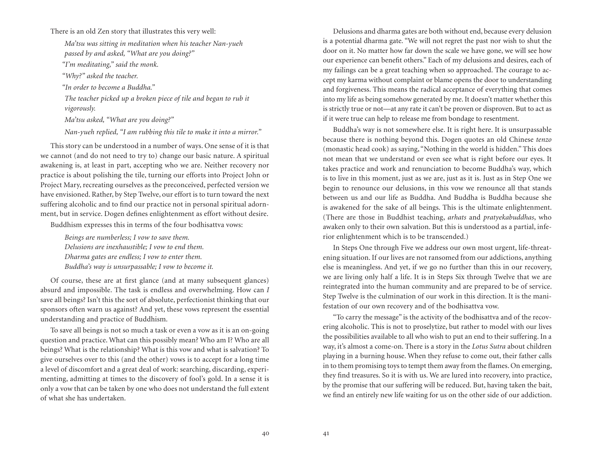There is an old Zen story that illustrates this very well:

*Ma'tsu was sitting in meditation when his teacher Nan-yueh passed by and asked, "What are you doing?"*

*"I'm meditating," said the monk.*

*"Why?" asked the teacher.*

*"In order to become a Buddha."*

*The teacher picked up a broken piece of tile and began to rub it vigorously.*

*Ma'tsu asked, "What are you doing?"*

*Nan-yueh replied, "I am rubbing this tile to make it into a mirror."*

This story can be understood in a number of ways. One sense of it is that we cannot (and do not need to try to) change our basic nature. A spiritual awakening is, at least in part, accepting who we are. Neither recovery nor practice is about polishing the tile, turning our efforts into Project John or Project Mary, recreating ourselves as the preconceived, perfected version we have envisioned. Rather, by Step Twelve, our effort is to turn toward the next suffering alcoholic and to find our practice not in personal spiritual adornment, but in service. Dogen defines enlightenment as effort without desire.

Buddhism expresses this in terms of the four bodhisattva vows:

*Beings are numberless; I vow to save them. Delusions are inexhaustible; I vow to end them. Dharma gates are endless; I vow to enter them. Buddha's way is unsurpassable; I vow to become it.*

Of course, these are at first glance (and at many subsequent glances) absurd and impossible. The task is endless and overwhelming. How can *I* save all beings? Isn't this the sort of absolute, perfectionist thinking that our sponsors often warn us against? And yet, these vows represent the essential understanding and practice of Buddhism.

To save all beings is not so much a task or even a vow as it is an on-going question and practice. What can this possibly mean? Who am I? Who are all beings? What is the relationship? What is this vow and what is salvation? To give ourselves over to this (and the other) vows is to accept for a long time a level of discomfort and a great deal of work: searching, discarding, experimenting, admitting at times to the discovery of fool's gold. In a sense it is only a vow that can be taken by one who does not understand the full extent of what she has undertaken.

Delusions and dharma gates are both without end, because every delusion is a potential dharma gate. "We will not regret the past nor wish to shut the door on it. No matter how far down the scale we have gone, we will see how our experience can benefit others." Each of my delusions and desires, each of my failings can be a great teaching when so approached. The courage to accept my karma without complaint or blame opens the door to understanding and forgiveness. This means the radical acceptance of everything that comes into my life as being somehow generated by me. It doesn't matter whether this is strictly true or not—at any rate it can't be proven or disproven. But to act as if it were true can help to release me from bondage to resentment.

Buddha's way is not somewhere else. It is right here. It is unsurpassable because there is nothing beyond this. Dogen quotes an old Chinese *tenzo* (monastic head cook) as saying, "Nothing in the world is hidden." This does not mean that we understand or even see what is right before our eyes. It takes practice and work and renunciation to become Buddha's way, which is to live in this moment, just as we are, just as it is. Just as in Step One we begin to renounce our delusions, in this vow we renounce all that stands between us and our life as Buddha. And Buddha is Buddha because she is awakened for the sake of all beings. This is the ultimate enlightenment. (There are those in Buddhist teaching, *arhats* and *pratyekabuddhas*, who awaken only to their own salvation. But this is understood as a partial, inferior enlightenment which is to be transcended.)

In Steps One through Five we address our own most urgent, life-threatening situation. If our lives are not ransomed from our addictions, anything else is meaningless. And yet, if we go no further than this in our recovery, we are living only half a life. It is in Steps Six through Twelve that we are reintegrated into the human community and are prepared to be of service. Step Twelve is the culmination of our work in this direction. It is the manifestation of our own recovery and of the bodhisattva vow.

"To carry the message" is the activity of the bodhisattva and of the recovering alcoholic. This is not to proselytize, but rather to model with our lives the possibilities available to all who wish to put an end to their suffering. In a way, it's almost a come-on. There is a story in the *Lotus Sutra* about children playing in a burning house. When they refuse to come out, their father calls in to them promising toys to tempt them away from the flames. On emerging, they find treasures. So it is with us. We are lured into recovery, into practice, by the promise that our suffering will be reduced. But, having taken the bait, we find an entirely new life waiting for us on the other side of our addiction.